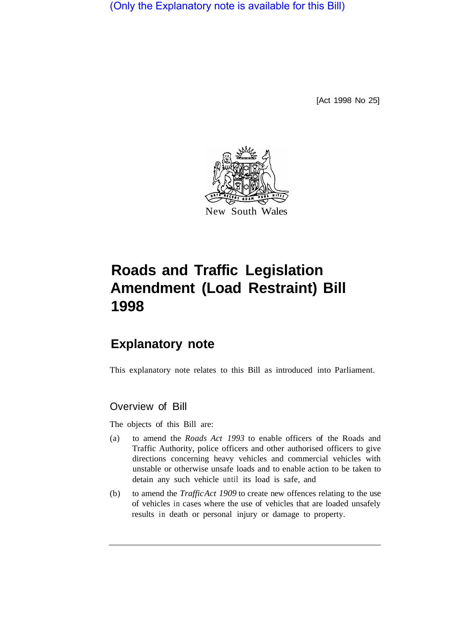(Only the Explanatory note is available for this Bill)

[Act 1998 No 25]



# **Roads and Traffic Legislation Amendment (Load Restraint) Bill 1998**

## **Explanatory note**

This explanatory note relates to this Bill as introduced into Parliament.

### Overview of Bill

The objects of this Bill are:

- (a) to amend the *Roads Act 1993* to enable officers of the Roads and Traffic Authority, police officers and other authorised officers to give directions concerning heavy vehicles and commercial vehicles with unstable or otherwise unsafe loads and to enable action to be taken to detain any such vehicle until its load is safe, and
- (b) to amend the *Traffic Act 1909* to create new offences relating to the use of vehicles in cases where the use of vehicles that are loaded unsafely results in death or personal injury or damage to property.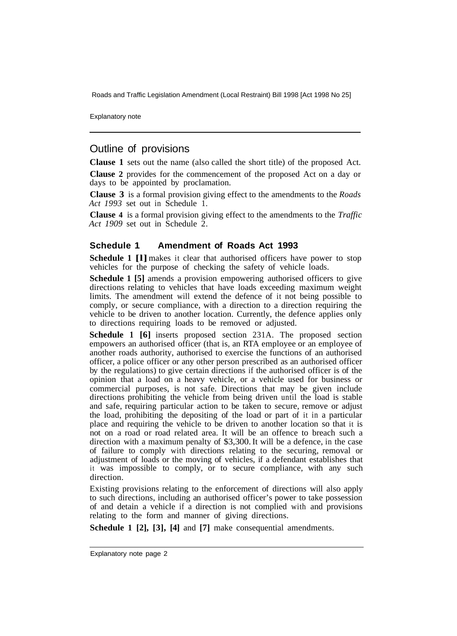Roads and Traffic Legislation Amendment (Local Restraint) Bill 1998 [Act 1998 No 25]

Explanatory note

### Outline of provisions

**Clause 1** sets out the name (also called the short title) of the proposed Act.

**Clause 2** provides for the commencement of the proposed Act on a day or days to be appointed by proclamation.

**Clause 3** is a formal provision giving effect to the amendments to the *Roads Act 1993* set out in Schedule 1.

**Clause 4** is a formal provision giving effect to the amendments to the *Traffic Act 1909* set out in Schedule 2.

#### **Schedule 1 Amendment of Roads Act 1993**

**Schedule 1 [1]** makes it clear that authorised officers have power to stop vehicles for the purpose of checking the safety of vehicle loads.

**Schedule 1 [5]** amends a provision empowering authorised officers to give directions relating to vehicles that have loads exceeding maximum weight limits. The amendment will extend the defence of it not being possible to comply, or secure compliance, with a direction to a direction requiring the vehicle to be driven to another location. Currently, the defence applies only to directions requiring loads to be removed or adjusted.

**Schedule 1 [6]** inserts proposed section 231A. The proposed section empowers an authorised officer (that is, an RTA employee or an employee of another roads authority, authorised to exercise the functions of an authorised officer, a police officer or any other person prescribed as an authorised officer by the regulations) to give certain directions if the authorised officer is of the opinion that a load on a heavy vehicle, or a vehicle used for business or commercial purposes, is not safe. Directions that may be given include directions prohibiting the vehicle from being driven until the load is stable and safe, requiring particular action to be taken to secure, remove or adjust the load, prohibiting the depositing of the load or part of it in a particular place and requiring the vehicle to be driven to another location so that it is not on a road or road related area. It will be an offence to breach such a direction with a maximum penalty of \$3,300. It will be a defence, in the case of failure to comply with directions relating to the securing, removal or adjustment of loads or the moving of vehicles, if a defendant establishes that it was impossible to comply, or to secure compliance, with any such direction.

Existing provisions relating to the enforcement of directions will also apply to such directions, including an authorised officer's power to take possession of and detain a vehicle if a direction is not complied with and provisions relating to the form and manner of giving directions.

**Schedule 1 [2], [3], [4]** and **[7]** make consequential amendments.